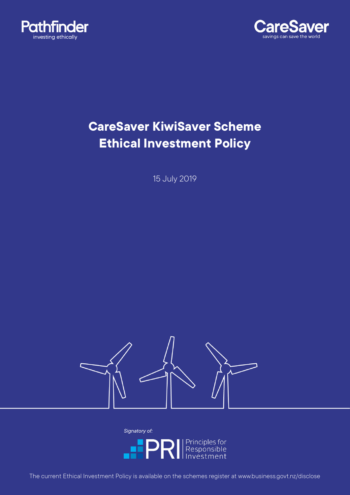



# **CareSaver KiwiSaver Scheme Ethical Investment Policy**

15 July 2019



*Signatory of:***IPRI** Principles for

The current Ethical Investment Policy is available on the schemes register at www.business.govt.nz/disclose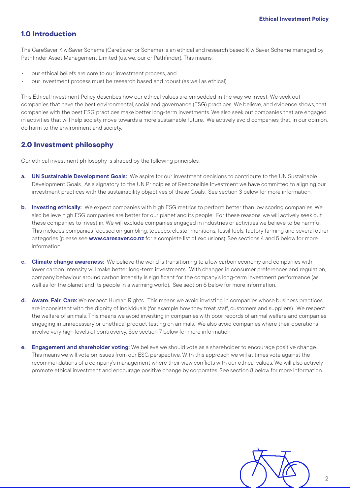# **1.0 Introduction**

The CareSaver KiwiSaver Scheme (CareSaver or Scheme) is an ethical and research based KiwiSaver Scheme managed by Pathfinder Asset Management Limited (us, we, our or Pathfinder). This means:

- our ethical beliefs are core to our investment process, and
- our investment process must be research based and robust (as well as ethical).

This Ethical Investment Policy describes how our ethical values are embedded in the way we invest. We seek out companies that have the best environmental, social and governance (ESG) practices. We believe, and evidence shows, that companies with the best ESG practices make better long-term investments. We also seek out companies that are engaged in activities that will help society move towards a more sustainable future. We actively avoid companies that, in our opinion, do harm to the environment and society.

### **2.0 Investment philosophy**

Our ethical investment philosophy is shaped by the following principles:

- **a. UN Sustainable Development Goals:** We aspire for our investment decisions to contribute to the UN Sustainable Development Goals. As a signatory to the UN Principles of Responsible Investment we have committed to aligning our investment practices with the sustainability objectives of these Goals. See section 3 below for more information.
- **b. Investing ethically:** We expect companies with high ESG metrics to perform better than low scoring companies. We also believe high ESG companies are better for our planet and its people. For these reasons, we will actively seek out these companies to invest in. We will exclude companies engaged in industries or activities we believe to be harmful. This includes companies focused on gambling, tobacco, cluster munitions, fossil fuels, factory farming and several other categories (please see **www.caresaver.co.nz** for a complete list of exclusions). See sections 4 and 5 below for more information.
- **c. Climate change awareness:** We believe the world is transitioning to a low carbon economy and companies with lower carbon intensity will make better long-term investments. With changes in consumer preferences and regulation, company behaviour around carbon intensity is significant for the company's long-term investment performance (as well as for the planet and its people in a warming world). See section 6 below for more information.
- **d. Aware. Fair. Care:** We respect Human Rights. This means we avoid investing in companies whose business practices are inconsistent with the dignity of individuals (for example how they treat staff, customers and suppliers). We respect the welfare of animals. This means we avoid investing in companies with poor records of animal welfare and companies engaging in unnecessary or unethical product testing on animals. We also avoid companies where their operations involve very high levels of controversy. See section 7 below for more information.
- **e. Engagement and shareholder voting:** We believe we should vote as a shareholder to encourage positive change. This means we will vote on issues from our ESG perspective. With this approach we will at times vote against the recommendations of a company's management where their view conflicts with our ethical values. We will also actively promote ethical investment and encourage positive change by corporates. See section 8 below for more information.

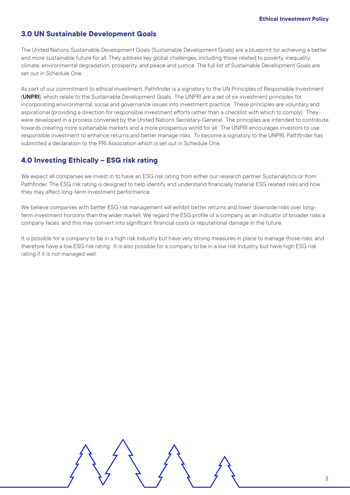### **3.0 UN Sustainable Development Goals**

The United Nations Sustainable Development Goals (Sustainable Development Goals) are a blueprint for achieving a better and more sustainable future for all. They address key global challenges, including those related to poverty, inequality, climate, environmental degradation, prosperity, and peace and justice. The full list of Sustainable Development Goals are set out in Schedule One.

As part of our commitment to ethical investment, Pathfinder is a signatory to the UN Principles of Responsible Investment (**UNPRI**), which relate to the Sustainable Development Goals. The UNPRI are a set of six investment principles for incorporating environmental, social and governance issues into investment practice. These principles are voluntary and aspirational (providing a direction for responsible investment efforts rather than a checklist with which to comply). They were developed in a process convened by the United Nations Secretary-General. The principles are intended to contribute towards creating more sustainable markets and a more prosperous world for all. The UNPRI encourages investors to use responsible investment to enhance returns and better manage risks. To become a signatory to the UNPRI, Pathfinder has submitted a declaration to the PRI Association which is set out in Schedule One.

### **4.0 Investing Ethically – ESG risk rating**

We expect all companies we invest in to have an ESG risk rating from either our research partner Sustainalytics or from Pathfinder. The ESG risk rating is designed to help identify and understand financially material ESG related risks and how they may affect long-term investment performance.

We believe companies with better ESG risk management will exhibit better returns and lower downside risks over longterm investment horizons than the wider market. We regard the ESG profile of a company as an indicator of broader risks a company faces, and this may convert into significant financial costs or reputational damage in the future.

It is possible for a company to be in a high risk industry but have very strong measures in place to manage those risks, and therefore have a low ESG risk rating. It is also possible for a company to be in a low risk industry, but have high ESG risk rating if it is not managed well.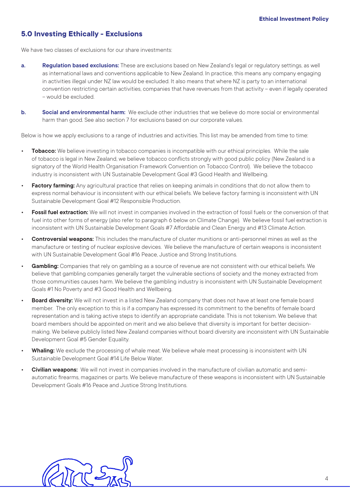# **5.0 Investing Ethically - Exclusions**

We have two classes of exclusions for our share investments:

- **a. Regulation based exclusions:** These are exclusions based on New Zealand's legal or regulatory settings, as well as international laws and conventions applicable to New Zealand. In practice, this means any company engaging in activities illegal under NZ law would be excluded. It also means that where NZ is party to an international convention restricting certain activities, companies that have revenues from that activity – even if legally operated – would be excluded.
- **b. Social and environmental harm:** We exclude other industries that we believe do more social or environmental harm than good. See also section 7 for exclusions based on our corporate values.

Below is how we apply exclusions to a range of industries and activities. This list may be amended from time to time:

- **• Tobacco:** We believe investing in tobacco companies is incompatible with our ethical principles. While the sale of tobacco is legal in New Zealand, we believe tobacco conflicts strongly with good public policy (New Zealand is a signatory of the World Health Organisation Framework Convention on Tobacco Control). We believe the tobacco industry is inconsistent with UN Sustainable Development Goal #3 Good Health and Wellbeing.
- **• Factory farming:** Any agricultural practice that relies on keeping animals in conditions that do not allow them to express normal behaviour is inconsistent with our ethical beliefs. We believe factory farming is inconsistent with UN Sustainable Development Goal #12 Responsible Production.
- **• Fossil fuel extraction:** We will not invest in companies involved in the extraction of fossil fuels or the conversion of that fuel into other forms of energy (also refer to paragraph 6 below on Climate Change). We believe fossil fuel extraction is inconsistent with UN Sustainable Development Goals #7 Affordable and Clean Energy and #13 Climate Action.
- **• Controversial weapons:** This includes the manufacture of cluster munitions or anti-personnel mines as well as the manufacture or testing of nuclear explosive devices. We believe the manufacture of certain weapons is inconsistent with UN Sustainable Development Goal #16 Peace, Justice and Strong Institutions.
- **• Gambling:** Companies that rely on gambling as a source of revenue are not consistent with our ethical beliefs. We believe that gambling companies generally target the vulnerable sections of society and the money extracted from those communities causes harm. We believe the gambling industry is inconsistent with UN Sustainable Development Goals #1 No Poverty and #3 Good Health and Wellbeing.
- **Board diversity:** We will not invest in a listed New Zealand company that does not have at least one female board member. The only exception to this is if a company has expressed its commitment to the benefits of female board representation and is taking active steps to identify an appropriate candidate. This is not tokenism. We believe that board members should be appointed on merit and we also believe that diversity is important for better decisionmaking. We believe publicly listed New Zealand companies without board diversity are inconsistent with UN Sustainable Development Goal #5 Gender Equality.
- **• Whaling:** We exclude the processing of whale meat. We believe whale meat processing is inconsistent with UN Sustainable Development Goal #14 Life Below Water.
- **• Civilian weapons:** We will not invest in companies involved in the manufacture of civilian automatic and semiautomatic firearms, magazines or parts. We believe manufacture of these weapons is inconsistent with UN Sustainable Development Goals #16 Peace and Justice Strong Institutions.

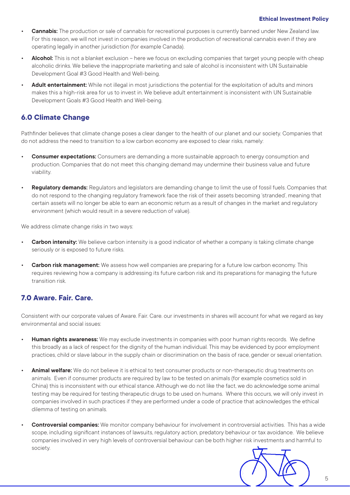#### **Ethical Investment Policy**

- **• Cannabis:** The production or sale of cannabis for recreational purposes is currently banned under New Zealand law. For this reason, we will not invest in companies involved in the production of recreational cannabis even if they are operating legally in another jurisdiction (for example Canada).
- **• Alcohol:** This is not a blanket exclusion here we focus on excluding companies that target young people with cheap alcoholic drinks. We believe the inappropriate marketing and sale of alcohol is inconsistent with UN Sustainable Development Goal #3 Good Health and Well-being.
- **• Adult entertainment:** While not illegal in most jurisdictions the potential for the exploitation of adults and minors makes this a high-risk area for us to invest in. We believe adult entertainment is inconsistent with UN Sustainable Development Goals #3 Good Health and Well-being.

# **6.0 Climate Change**

Pathfinder believes that climate change poses a clear danger to the health of our planet and our society. Companies that do not address the need to transition to a low carbon economy are exposed to clear risks, namely:

- **• Consumer expectations:** Consumers are demanding a more sustainable approach to energy consumption and production. Companies that do not meet this changing demand may undermine their business value and future viability.
- **• Regulatory demands:** Regulators and legislators are demanding change to limit the use of fossil fuels. Companies that do not respond to the changing regulatory framework face the risk of their assets becoming 'stranded', meaning that certain assets will no longer be able to earn an economic return as a result of changes in the market and regulatory environment (which would result in a severe reduction of value).

We address climate change risks in two ways:

- **• Carbon intensity:** We believe carbon intensity is a good indicator of whether a company is taking climate change seriously or is exposed to future risks.
- **• Carbon risk management:** We assess how well companies are preparing for a future low carbon economy. This requires reviewing how a company is addressing its future carbon risk and its preparations for managing the future transition risk.

# **7.0 Aware. Fair. Care.**

Consistent with our corporate values of Aware. Fair. Care. our investments in shares will account for what we regard as key environmental and social issues:

- **• Human rights awareness:** We may exclude investments in companies with poor human rights records. We define this broadly as a lack of respect for the dignity of the human individual. This may be evidenced by poor employment practices, child or slave labour in the supply chain or discrimination on the basis of race, gender or sexual orientation.
- **• Animal welfare:** We do not believe it is ethical to test consumer products or non-therapeutic drug treatments on animals. Even if consumer products are required by law to be tested on animals (for example cosmetics sold in China) this is inconsistent with our ethical stance. Although we do not like the fact, we do acknowledge some animal testing may be required for testing therapeutic drugs to be used on humans. Where this occurs, we will only invest in companies involved in such practices if they are performed under a code of practice that acknowledges the ethical dilemma of testing on animals.
- **• Controversial companies:** We monitor company behaviour for involvement in controversial activities. This has a wide scope, including significant instances of lawsuits, regulatory action, predatory behaviour or tax avoidance. We believe companies involved in very high levels of controversial behaviour can be both higher risk investments and harmful to society.

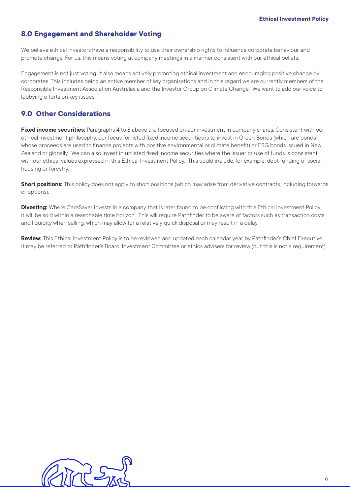## **8.0 Engagement and Shareholder Voting**

We believe ethical investors have a responsibility to use their ownership rights to influence corporate behaviour and promote change. For us, this means voting at company meetings in a manner consistent with our ethical beliefs.

Engagement is not just voting. It also means actively promoting ethical investment and encouraging positive change by corporates. This includes being an active member of key organisations and in this regard we are currently members of the Responsible Investment Association Australasia and the Investor Group on Climate Change. We want to add our voice to lobbying efforts on key issues.

# **9.0 Other Considerations**

**Fixed income securities:** Paragraphs 4 to 8 above are focused on our investment in company shares. Consistent with our ethical investment philosophy, our focus for listed fixed income securities is to invest in Green Bonds (which are bonds whose proceeds are used to finance projects with positive environmental or climate benefit) or ESG bonds issued in New Zealand or globally. We can also invest in unlisted fixed income securities where the issuer or use of funds is consistent with our ethical values expressed in this Ethical Investment Policy. This could include, for example, debt funding of social housing or forestry.

**Short positions:** This policy does not apply to short positions (which may arise from derivative contracts, including forwards or options).

**Divesting:** Where CareSaver invests in a company that is later found to be conflicting with this Ethical Investment Policy, it will be sold within a reasonable time horizon. This will require Pathfinder to be aware of factors such as transaction costs and liquidity when selling, which may allow for a relatively quick disposal or may result in a delay.

**Review:** This Ethical Investment Policy is to be reviewed and updated each calendar year by Pathfinder's Chief Executive. It may be referred to Pathfinder's Board, Investment Committee or ethics advisers for review (but this is not a requirement).